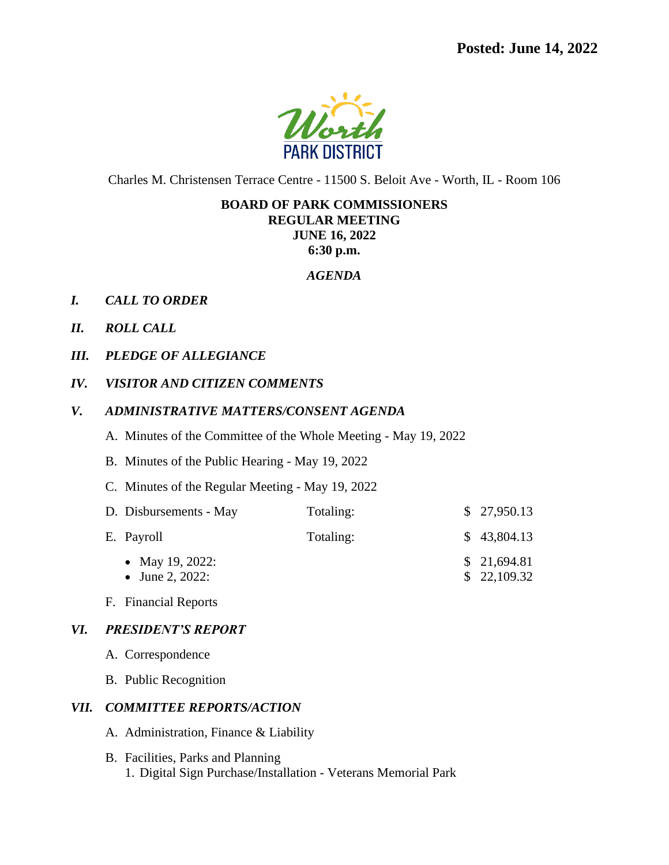

Charles M. Christensen Terrace Centre - 11500 S. Beloit Ave - Worth, IL - Room 106

# **BOARD OF PARK COMMISSIONERS**

**REGULAR MEETING JUNE 16, 2022**

**6:30 p.m.**

#### *AGENDA*

- *I. CALL TO ORDER*
- *II. ROLL CALL*
- *III. PLEDGE OF ALLEGIANCE*
- *IV. VISITOR AND CITIZEN COMMENTS*
- *V. ADMINISTRATIVE MATTERS/CONSENT AGENDA*
	- A. Minutes of the Committee of the Whole Meeting May 19, 2022
	- B. Minutes of the Public Hearing May 19, 2022
	- C. Minutes of the Regular Meeting May 19, 2022

| D. Disbursements - May             | Totaling: | \$27,950.13                |
|------------------------------------|-----------|----------------------------|
| E. Payroll                         | Totaling: | \$43,804.13                |
| • May 19, 2022:<br>• June 2, 2022: |           | \$21,694.81<br>\$22,109.32 |

F. Financial Reports

## *VI. PRESIDENT'S REPORT*

- A. Correspondence
- B. Public Recognition

#### *VII. COMMITTEE REPORTS/ACTION*

- A. Administration, Finance & Liability
- B. Facilities, Parks and Planning 1. Digital Sign Purchase/Installation - Veterans Memorial Park